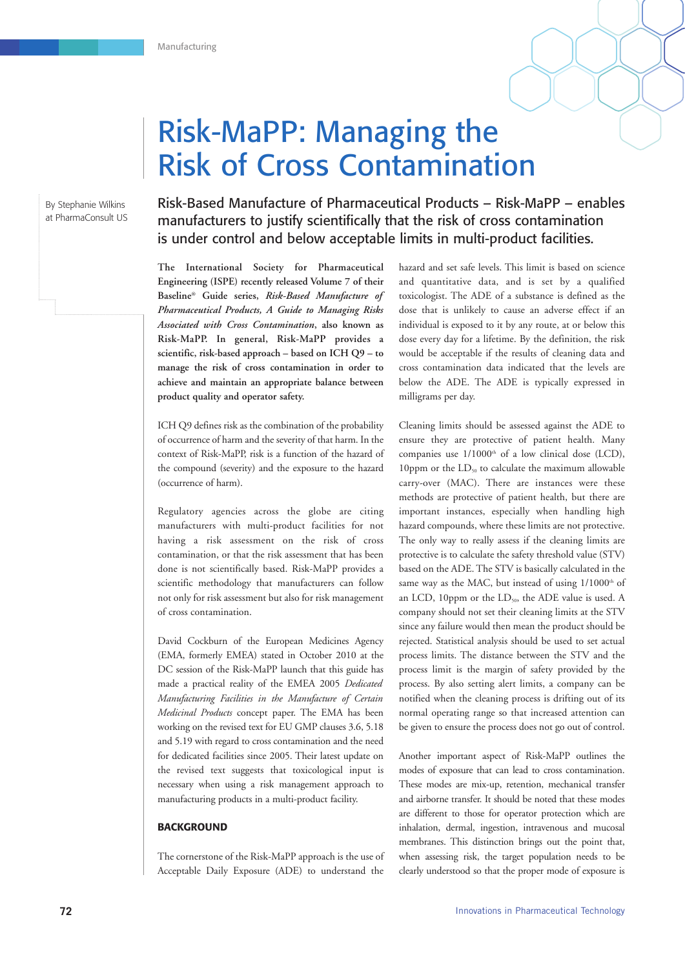

By Stephanie Wilkins at PharmaConsult US Risk-Based Manufacture of Pharmaceutical Products – Risk-MaPP – enables manufacturers to justify scientifically that the risk of cross contamination is under control and below acceptable limits in multi-product facilities.

**The International Society for Pharmaceutical Engineering (ISPE) recently released Volume 7 of their Baseline® Guide series,** *Risk-Based Manufacture of Pharmaceutical Products, A Guide to Managing Risks Associated with Cross Contamination***, also known as Risk-MaPP. In general, Risk-MaPP provides a scientific, risk-based approach – based on ICH Q9 – to manage the risk of cross contamination in order to achieve and maintain an appropriate balance between product quality and operator safety.** 

ICH Q9 defines risk as the combination of the probability of occurrence of harm and the severity of that harm. In the context of Risk-MaPP, risk is a function of the hazard of the compound (severity) and the exposure to the hazard (occurrence of harm).

Regulatory agencies across the globe are citing manufacturers with multi-product facilities for not having a risk assessment on the risk of cross contamination, or that the risk assessment that has been done is not scientifically based. Risk-MaPP provides a scientific methodology that manufacturers can follow not only for risk assessment but also for risk management of cross contamination.

David Cockburn of the European Medicines Agency (EMA, formerly EMEA) stated in October 2010 at the DC session of the Risk-MaPP launch that this guide has made a practical reality of the EMEA 2005 *Dedicated Manufacturing Facilities in the Manufacture of Certain Medicinal Products* concept paper. The EMA has been working on the revised text for EU GMP clauses 3.6, 5.18 and 5.19 with regard to cross contamination and the need for dedicated facilities since 2005. Their latest update on the revised text suggests that toxicological input is necessary when using a risk management approach to manufacturing products in a multi-product facility.

### **BACKGROUND**

The cornerstone of the Risk-MaPP approach is the use of Acceptable Daily Exposure (ADE) to understand the

hazard and set safe levels. This limit is based on science and quantitative data, and is set by a qualified toxicologist. The ADE of a substance is defined as the dose that is unlikely to cause an adverse effect if an individual is exposed to it by any route, at or below this dose every day for a lifetime. By the definition, the risk would be acceptable if the results of cleaning data and cross contamination data indicated that the levels are below the ADE. The ADE is typically expressed in milligrams per day.

Cleaning limits should be assessed against the ADE to ensure they are protective of patient health. Many companies use  $1/1000<sup>th</sup>$  of a low clinical dose (LCD), 10ppm or the  $LD_{50}$  to calculate the maximum allowable carry-over (MAC). There are instances were these methods are protective of patient health, but there are important instances, especially when handling high hazard compounds, where these limits are not protective. The only way to really assess if the cleaning limits are protective is to calculate the safety threshold value (STV) based on the ADE. The STV is basically calculated in the same way as the MAC, but instead of using 1/1000<sup>th</sup> of an LCD, 10ppm or the LD<sub>50</sub>, the ADE value is used. A company should not set their cleaning limits at the STV since any failure would then mean the product should be rejected. Statistical analysis should be used to set actual process limits. The distance between the STV and the process limit is the margin of safety provided by the process. By also setting alert limits, a company can be notified when the cleaning process is drifting out of its normal operating range so that increased attention can be given to ensure the process does not go out of control.

Another important aspect of Risk-MaPP outlines the modes of exposure that can lead to cross contamination. These modes are mix-up, retention, mechanical transfer and airborne transfer. It should be noted that these modes are different to those for operator protection which are inhalation, dermal, ingestion, intravenous and mucosal membranes. This distinction brings out the point that, when assessing risk, the target population needs to be clearly understood so that the proper mode of exposure is